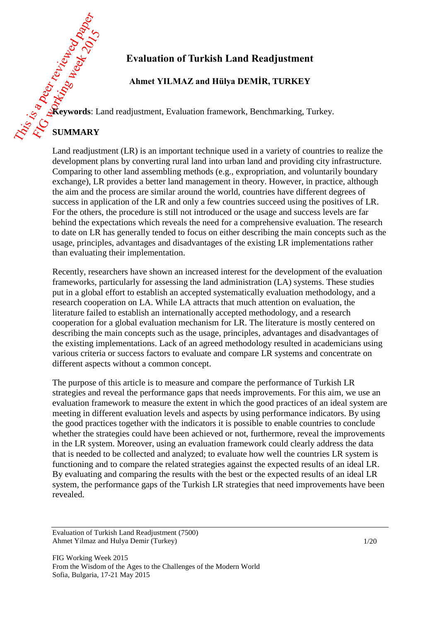# **Evaluation of Turkish Land Readjustment**

# **Ahmet YILMAZ and Hülya DEMİR, TURKEY**

**Keywords**: Land readjustment, Evaluation framework, Benchmarking, Turkey.

# **SUMMARY**

Land readjustment (LR) is an important technique used in a variety of countries to realize the development plans by converting rural land into urban land and providing city infrastructure. Comparing to other land assembling methods (e.g., expropriation, and voluntarily boundary exchange), LR provides a better land management in theory. However, in practice, although the aim and the process are similar around the world, countries have different degrees of success in application of the LR and only a few countries succeed using the positives of LR. For the others, the procedure is still not introduced or the usage and success levels are far behind the expectations which reveals the need for a comprehensive evaluation. The research to date on LR has generally tended to focus on either describing the main concepts such as the usage, principles, advantages and disadvantages of the existing LR implementations rather than evaluating their implementation.

Recently, researchers have shown an increased interest for the development of the evaluation frameworks, particularly for assessing the land administration (LA) systems. These studies put in a global effort to establish an accepted systematically evaluation methodology, and a research cooperation on LA. While LA attracts that much attention on evaluation, the literature failed to establish an internationally accepted methodology, and a research cooperation for a global evaluation mechanism for LR. The literature is mostly centered on describing the main concepts such as the usage, principles, advantages and disadvantages of the existing implementations. Lack of an agreed methodology resulted in academicians using various criteria or success factors to evaluate and compare LR systems and concentrate on different aspects without a common concept.

The purpose of this article is to measure and compare the performance of Turkish LR strategies and reveal the performance gaps that needs improvements. For this aim, we use an evaluation framework to measure the extent in which the good practices of an ideal system are meeting in different evaluation levels and aspects by using performance indicators. By using the good practices together with the indicators it is possible to enable countries to conclude whether the strategies could have been achieved or not, furthermore, reveal the improvements in the LR system. Moreover, using an evaluation framework could clearly address the data that is needed to be collected and analyzed; to evaluate how well the countries LR system is functioning and to compare the related strategies against the expected results of an ideal LR. By evaluating and comparing the results with the best or the expected results of an ideal LR system, the performance gaps of the Turkish LR strategies that need improvements have been revealed.

Evaluation of Turkish Land Readjustment (7500) Ahmet Yilmaz and Hulya Demir (Turkey)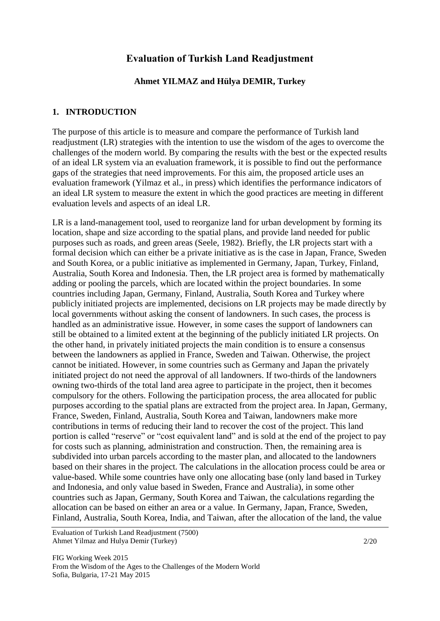# **Evaluation of Turkish Land Readjustment**

### **Ahmet YILMAZ and Hülya DEMIR, Turkey**

### **1. INTRODUCTION**

The purpose of this article is to measure and compare the performance of Turkish land readjustment (LR) strategies with the intention to use the wisdom of the ages to overcome the challenges of the modern world. By comparing the results with the best or the expected results of an ideal LR system via an evaluation framework, it is possible to find out the performance gaps of the strategies that need improvements. For this aim, the proposed article uses an evaluation framework (Yilmaz et al., in press) which identifies the performance indicators of an ideal LR system to measure the extent in which the good practices are meeting in different evaluation levels and aspects of an ideal LR.

LR is a land-management tool, used to reorganize land for urban development by forming its location, shape and size according to the spatial plans, and provide land needed for public purposes such as roads, and green areas (Seele, 1982). Briefly, the LR projects start with a formal decision which can either be a private initiative as is the case in Japan, France, Sweden and South Korea, or a public initiative as implemented in Germany, Japan, Turkey, Finland, Australia, South Korea and Indonesia. Then, the LR project area is formed by mathematically adding or pooling the parcels, which are located within the project boundaries. In some countries including Japan, Germany, Finland, Australia, South Korea and Turkey where publicly initiated projects are implemented, decisions on LR projects may be made directly by local governments without asking the consent of landowners. In such cases, the process is handled as an administrative issue. However, in some cases the support of landowners can still be obtained to a limited extent at the beginning of the publicly initiated LR projects. On the other hand, in privately initiated projects the main condition is to ensure a consensus between the landowners as applied in France, Sweden and Taiwan. Otherwise, the project cannot be initiated. However, in some countries such as Germany and Japan the privately initiated project do not need the approval of all landowners. If two-thirds of the landowners owning two-thirds of the total land area agree to participate in the project, then it becomes compulsory for the others. Following the participation process, the area allocated for public purposes according to the spatial plans are extracted from the project area. In Japan, Germany, France, Sweden, Finland, Australia, South Korea and Taiwan, landowners make more contributions in terms of reducing their land to recover the cost of the project. This land portion is called "reserve" or "cost equivalent land" and is sold at the end of the project to pay for costs such as planning, administration and construction. Then, the remaining area is subdivided into urban parcels according to the master plan, and allocated to the landowners based on their shares in the project. The calculations in the allocation process could be area or value-based. While some countries have only one allocating base (only land based in Turkey and Indonesia, and only value based in Sweden, France and Australia), in some other countries such as Japan, Germany, South Korea and Taiwan, the calculations regarding the allocation can be based on either an area or a value. In Germany, Japan, France, Sweden, Finland, Australia, South Korea, India, and Taiwan, after the allocation of the land, the value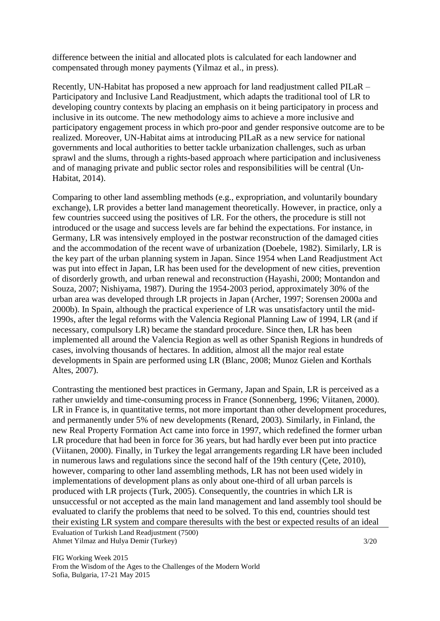difference between the initial and allocated plots is calculated for each landowner and compensated through money payments (Yilmaz et al., in press).

Recently, UN-Habitat has proposed a new approach for land readjustment called PILaR – Participatory and Inclusive Land Readjustment, which adapts the traditional tool of LR to developing country contexts by placing an emphasis on it being participatory in process and inclusive in its outcome. The new methodology aims to achieve a more inclusive and participatory engagement process in which pro-poor and gender responsive outcome are to be realized. Moreover, UN-Habitat aims at introducing PILaR as a new service for national governments and local authorities to better tackle urbanization challenges, such as urban sprawl and the slums, through a rights-based approach where participation and inclusiveness and of managing private and public sector roles and responsibilities will be central (Un-Habitat, 2014).

Comparing to other land assembling methods (e.g., expropriation, and voluntarily boundary exchange), LR provides a better land management theoretically. However, in practice, only a few countries succeed using the positives of LR. For the others, the procedure is still not introduced or the usage and success levels are far behind the expectations. For instance, in Germany, LR was intensively employed in the postwar reconstruction of the damaged cities and the accommodation of the recent wave of urbanization (Doebele, 1982). Similarly, LR is the key part of the urban planning system in Japan. Since 1954 when Land Readjustment Act was put into effect in Japan, LR has been used for the development of new cities, prevention of disorderly growth, and urban renewal and reconstruction (Hayashi, 2000; Montandon and Souza, 2007; Nishiyama, 1987). During the 1954-2003 period, approximately 30% of the urban area was developed through LR projects in Japan (Archer, 1997; Sorensen 2000a and 2000b). In Spain, although the practical experience of LR was unsatisfactory until the mid-1990s, after the legal reforms with the Valencia Regional Planning Law of 1994, LR (and if necessary, compulsory LR) became the standard procedure. Since then, LR has been implemented all around the Valencia Region as well as other Spanish Regions in hundreds of cases, involving thousands of hectares. In addition, almost all the major real estate developments in Spain are performed using LR (Blanc, 2008; Munoz Gielen and Korthals Altes, 2007).

Contrasting the mentioned best practices in Germany, Japan and Spain, LR is perceived as a rather unwieldy and time-consuming process in France (Sonnenberg, 1996; Viitanen, 2000). LR in France is, in quantitative terms, not more important than other development procedures, and permanently under 5% of new developments (Renard, 2003). Similarly, in Finland, the new Real Property Formation Act came into force in 1997, which redefined the former urban LR procedure that had been in force for 36 years, but had hardly ever been put into practice (Viitanen, 2000). Finally, in Turkey the legal arrangements regarding LR have been included in numerous laws and regulations since the second half of the 19th century (Çete, 2010), however, comparing to other land assembling methods, LR has not been used widely in implementations of development plans as only about one-third of all urban parcels is produced with LR projects (Turk, 2005). Consequently, the countries in which LR is unsuccessful or not accepted as the main land management and land assembly tool should be evaluated to clarify the problems that need to be solved. To this end, countries should test their existing LR system and compare theresults with the best or expected results of an ideal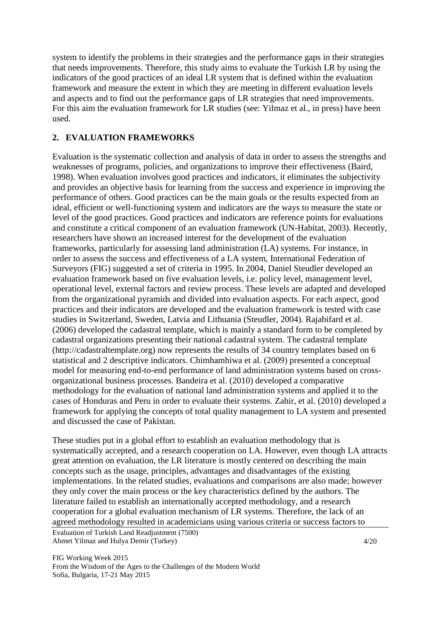system to identify the problems in their strategies and the performance gaps in their strategies that needs improvements. Therefore, this study aims to evaluate the Turkish LR by using the indicators of the good practices of an ideal LR system that is defined within the evaluation framework and measure the extent in which they are meeting in different evaluation levels and aspects and to find out the performance gaps of LR strategies that need improvements. For this aim the evaluation framework for LR studies (see: Yilmaz et al., in press) have been used.

## **2. EVALUATION FRAMEWORKS**

Evaluation is the systematic collection and analysis of data in order to assess the strengths and weaknesses of programs, policies, and organizations to improve their effectiveness (Baird, 1998). When evaluation involves good practices and indicators, it eliminates the subjectivity and provides an objective basis for learning from the success and experience in improving the performance of others. Good practices can be the main goals or the results expected from an ideal, efficient or well-functioning system and indicators are the ways to measure the state or level of the good practices. Good practices and indicators are reference points for evaluations and constitute a critical component of an evaluation framework (UN-Habitat, 2003). Recently, researchers have shown an increased interest for the development of the evaluation frameworks, particularly for assessing land administration (LA) systems. For instance, in order to assess the success and effectiveness of a LA system, International Federation of Surveyors (FIG) suggested a set of criteria in 1995. In 2004, Daniel Steudler developed an evaluation framework based on five evaluation levels, i.e. policy level, management level, operational level, external factors and review process. These levels are adapted and developed from the organizational pyramids and divided into evaluation aspects. For each aspect, good practices and their indicators are developed and the evaluation framework is tested with case studies in Switzerland, Sweden, Latvia and Lithuania (Steudler, 2004). Rajabifard et al. (2006) developed the cadastral template, which is mainly a standard form to be completed by cadastral organizations presenting their national cadastral system. The cadastral template (http://cadastraltemplate.org) now represents the results of 34 country templates based on 6 statistical and 2 descriptive indicators. Chimhamhiwa et al. (2009) presented a conceptual model for measuring end-to-end performance of land administration systems based on crossorganizational business processes. Bandeira et al. (2010) developed a comparative methodology for the evaluation of national land administration systems and applied it to the cases of Honduras and Peru in order to evaluate their systems. Zahir, et al. (2010) developed a framework for applying the concepts of total quality management to LA system and presented and discussed the case of Pakistan.

These studies put in a global effort to establish an evaluation methodology that is systematically accepted, and a research cooperation on LA. However, even though LA attracts great attention on evaluation, the LR literature is mostly centered on describing the main concepts such as the usage, principles, advantages and disadvantages of the existing implementations. In the related studies, evaluations and comparisons are also made; however they only cover the main process or the key characteristics defined by the authors. The literature failed to establish an internationally accepted methodology, and a research cooperation for a global evaluation mechanism of LR systems. Therefore, the lack of an agreed methodology resulted in academicians using various criteria or success factors to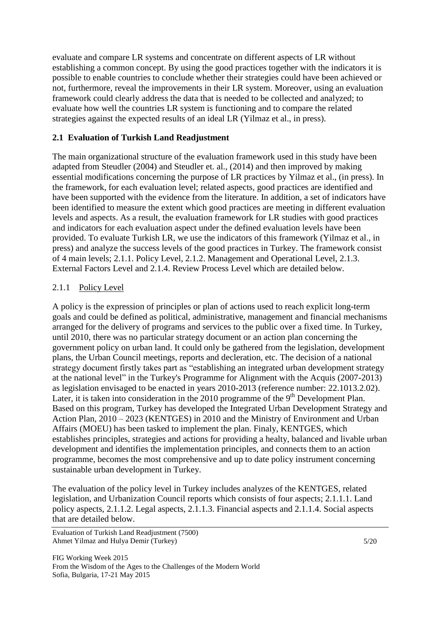evaluate and compare LR systems and concentrate on different aspects of LR without establishing a common concept. By using the good practices together with the indicators it is possible to enable countries to conclude whether their strategies could have been achieved or not, furthermore, reveal the improvements in their LR system. Moreover, using an evaluation framework could clearly address the data that is needed to be collected and analyzed; to evaluate how well the countries LR system is functioning and to compare the related strategies against the expected results of an ideal LR (Yilmaz et al., in press).

## **2.1 Evaluation of Turkish Land Readjustment**

The main organizational structure of the evaluation framework used in this study have been adapted from Steudler (2004) and Steudler et. al., (2014) and then improved by making essential modifications concerning the purpose of LR practices by Yilmaz et al., (in press). In the framework, for each evaluation level; related aspects, good practices are identified and have been supported with the evidence from the literature. In addition, a set of indicators have been identified to measure the extent which good practices are meeting in different evaluation levels and aspects. As a result, the evaluation framework for LR studies with good practices and indicators for each evaluation aspect under the defined evaluation levels have been provided. To evaluate Turkish LR, we use the indicators of this framework (Yilmaz et al., in press) and analyze the success levels of the good practices in Turkey. The framework consist of 4 main levels; 2.1.1. Policy Level, 2.1.2. Management and Operational Level, 2.1.3. External Factors Level and 2.1.4. Review Process Level which are detailed below.

### 2.1.1 Policy Level

A policy is the expression of principles or plan of actions used to reach explicit long-term goals and could be defined as political, administrative, management and financial mechanisms arranged for the delivery of programs and services to the public over a fixed time. In Turkey, until 2010, there was no particular strategy document or an action plan concerning the government policy on urban land. It could only be gathered from the legislation, development plans, the Urban Council meetings, reports and decleration, etc. The decision of a national strategy document firstly takes part as "establishing an integrated urban development strategy at the national level" in the Turkey's Programme for Alignment with the Acquis (2007-2013) as legislation envisaged to be enacted in years 2010-2013 (reference number: 22.1013.2.02). Later, it is taken into consideration in the 2010 programme of the  $9<sup>th</sup>$  Development Plan. Based on this program, Turkey has developed the Integrated Urban Development Strategy and Action Plan, 2010 – 2023 (KENTGES) in 2010 and the Ministry of Environment and Urban Affairs (MOEU) has been tasked to implement the plan. Finaly, KENTGES, which establishes principles, strategies and actions for providing a healty, balanced and livable urban development and identifies the implementation principles, and connects them to an action programme, becomes the most comprehensive and up to date policy instrument concerning sustainable urban development in Turkey.

The evaluation of the policy level in Turkey includes analyzes of the KENTGES, related legislation, and Urbanization Council reports which consists of four aspects; 2.1.1.1. Land policy aspects, 2.1.1.2. Legal aspects, 2.1.1.3. Financial aspects and 2.1.1.4. Social aspects that are detailed below.

Evaluation of Turkish Land Readjustment (7500) Ahmet Yilmaz and Hulya Demir (Turkey)

FIG Working Week 2015 From the Wisdom of the Ages to the Challenges of the Modern World Sofia, Bulgaria, 17-21 May 2015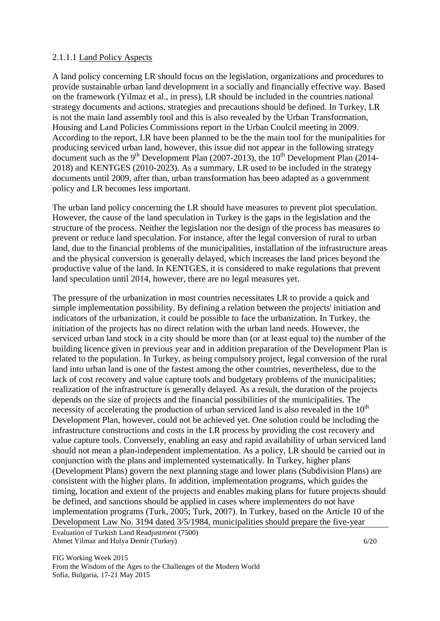### 2.1.1.1 Land Policy Aspects

A land policy concerning LR should focus on the legislation, organizations and procedures to provide sustainable urban land development in a socially and financially effective way. Based on the framework (Yilmaz et al., in press), LR should be included in the countries national strategy documents and actions, strategies and precautions should be defined. In Turkey, LR is not the main land assembly tool and this is also revealed by the Urban Transformation, Housing and Land Policies Commissions report in the Urban Coulcil meeting in 2009. According to the report, LR have been planned to be the the main tool for the munipalities for producing serviced urban land, however, this issue did not appear in the following strategy document such as the 9<sup>th</sup> Development Plan (2007-2013), the  $10^{th}$  Development Plan (2014-2018) and KENTGES (2010-2023). As a summary, LR used to be included in the strategy documents until 2009, after than, urban transformation has been adapted as a government policy and LR becomes less important.

The urban land policy concerning the LR should have measures to prevent plot speculation. However, the cause of the land speculation in Turkey is the gaps in the legislation and the structure of the process. Neither the legislation nor the design of the process has measures to prevent or reduce land speculation. For instance, after the legal conversion of rural to urban land, due to the financial problems of the municipalities, installation of the infrastructure areas and the physical conversion is generally delayed, which increases the land prices beyond the productive value of the land. In KENTGES, it is considered to make regulations that prevent land speculation until 2014, however, there are no legal measures yet.

The pressure of the urbanization in most countries necessitates LR to provide a quick and simple implementation possibility. By defining a relation between the projects' initiation and indicators of the urbanization, it could be possible to face the urbanization. In Turkey, the initiation of the projects has no direct relation with the urban land needs. However, the serviced urban land stock in a city should be more than (or at least equal to) the number of the building licence given in previous year and in addition preparation of the Development Plan is related to the population. In Turkey, as being compulsory project, legal conversion of the rural land into urban land is one of the fastest among the other countries, nevertheless, due to the lack of cost recovery and value capture tools and budgetary problems of the municipalities; realization of the infrastructure is generally delayed. As a result, the duration of the projects depends on the size of projects and the financial possibilities of the municipalities. The necessity of accelerating the production of urban serviced land is also revealed in the  $10<sup>th</sup>$ Development Plan, however, could not be achieved yet. One solution could be including the infrastructure constructions and costs in the LR process by providing the cost recovery and value capture tools. Conversely, enabling an easy and rapid availability of urban serviced land should not mean a plan-independent implementation. As a policy, LR should be carried out in conjunction with the plans and implemented systematically. In Turkey, higher plans (Development Plans) govern the next planning stage and lower plans (Subdivision Plans) are consistent with the higher plans. In addition, implementation programs, which guides the timing, location and extent of the projects and enables making plans for future projects should be defined, and sanctions should be applied in cases where implementers do not have implementation programs (Turk, 2005; Turk, 2007). In Turkey, based on the Article 10 of the Development Law No. 3194 dated 3/5/1984, municipalities should prepare the five-year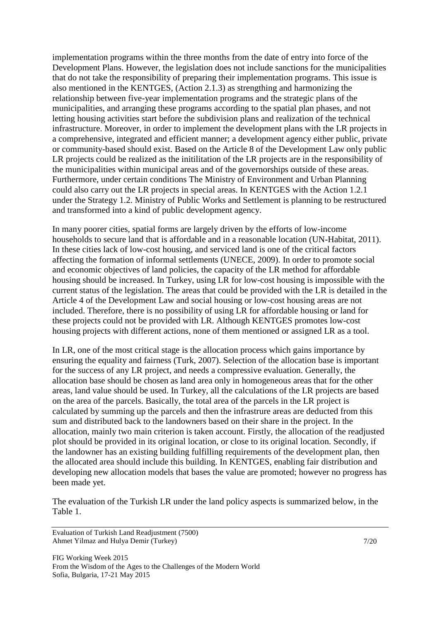implementation programs within the three months from the date of entry into force of the Development Plans. However, the legislation does not include sanctions for the municipalities that do not take the responsibility of preparing their implementation programs. This issue is also mentioned in the KENTGES, (Action 2.1.3) as strengthing and harmonizing the relationship between five-year implementation programs and the strategic plans of the municipalities, and arranging these programs according to the spatial plan phases, and not letting housing activities start before the subdivision plans and realization of the technical infrastructure. Moreover, in order to implement the development plans with the LR projects in a comprehensive, integrated and efficient manner; a development agency either public, private or community-based should exist. Based on the Article 8 of the Development Law only public LR projects could be realized as the initilitation of the LR projects are in the responsibility of the municipalities within municipal areas and of the governorships outside of these areas. Furthermore, under certain conditions The Ministry of Environment and Urban Planning could also carry out the LR projects in special areas. In KENTGES with the Action 1.2.1 under the Strategy 1.2. Ministry of Public Works and Settlement is planning to be restructured and transformed into a kind of public development agency.

In many poorer cities, spatial forms are largely driven by the efforts of low-income households to secure land that is affordable and in a reasonable location (UN-Habitat, 2011). In these cities lack of low-cost housing, and serviced land is one of the critical factors affecting the formation of informal settlements (UNECE, 2009). In order to promote social and economic objectives of land policies, the capacity of the LR method for affordable housing should be increased. In Turkey, using LR for low-cost housing is impossible with the current status of the legislation. The areas that could be provided with the LR is detailed in the Article 4 of the Development Law and social housing or low-cost housing areas are not included. Therefore, there is no possibility of using LR for affordable housing or land for these projects could not be provided with LR. Although KENTGES promotes low-cost housing projects with different actions, none of them mentioned or assigned LR as a tool.

In LR, one of the most critical stage is the allocation process which gains importance by ensuring the equality and fairness (Turk, 2007). Selection of the allocation base is important for the success of any LR project, and needs a compressive evaluation. Generally, the allocation base should be chosen as land area only in homogeneous areas that for the other areas, land value should be used. In Turkey, all the calculations of the LR projects are based on the area of the parcels. Basically, the total area of the parcels in the LR project is calculated by summing up the parcels and then the infrastrure areas are deducted from this sum and distributed back to the landowners based on their share in the project. In the allocation, mainly two main criterion is taken account. Firstly, the allocation of the readjusted plot should be provided in its original location, or close to its original location. Secondly, if the landowner has an existing building fulfilling requirements of the development plan, then the allocated area should include this building. In KENTGES, enabling fair distribution and developing new allocation models that bases the value are promoted; however no progress has been made yet.

The evaluation of the Turkish LR under the land policy aspects is summarized below, in the Table 1.

Evaluation of Turkish Land Readjustment (7500) Ahmet Yilmaz and Hulya Demir (Turkey)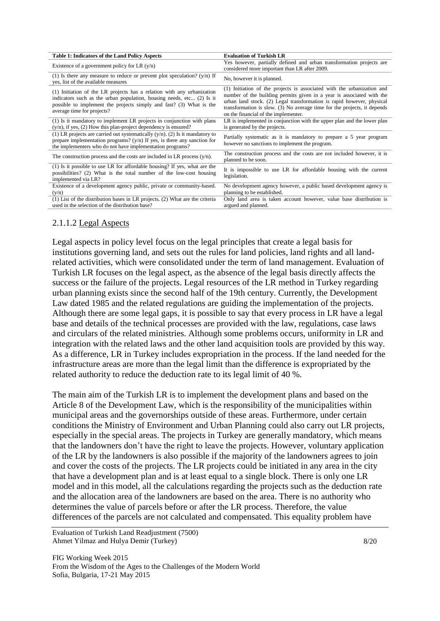| <b>Table 1: Indicators of the Land Policy Aspects</b>                                                                                                                                                                                                | <b>Evaluation of Turkish LR</b>                                                                                                                                                                                                                                                                                                              |
|------------------------------------------------------------------------------------------------------------------------------------------------------------------------------------------------------------------------------------------------------|----------------------------------------------------------------------------------------------------------------------------------------------------------------------------------------------------------------------------------------------------------------------------------------------------------------------------------------------|
| Existence of a government policy for LR $(y/n)$                                                                                                                                                                                                      | Yes however, partially defined and urban transformation projects are<br>considered more important than LR after 2009.                                                                                                                                                                                                                        |
| (1) Is there any measure to reduce or prevent plot speculation? $(y/n)$ If<br>yes, list of the available measures                                                                                                                                    | No, however it is planned.                                                                                                                                                                                                                                                                                                                   |
| (1) Initiation of the LR projects has a relation with any urbanization<br>indicators such as the urban population, housing needs, etc (2) Is it<br>possible to implement the projects simply and fast? (3) What is the<br>average time for projects? | (1) Initiation of the projects is associated with the urbanization and<br>number of the building permits given in a year is associated with the<br>urban land stock. (2) Legal transformation is rapid however, physical<br>transformation is slow. (3) No average time for the projects, it depends<br>on the financial of the implementer. |
| (1) Is it mandatory to implement LR projects in conjunction with plans<br>$(y/n)$ , if yes, (2) How this plan-project dependency is ensured?                                                                                                         | LR is implemented in conjunction with the upper plan and the lower plan<br>is generated by the projects.                                                                                                                                                                                                                                     |
| (1) LR projects are carried out systematically $(y/n)$ . (2) Is it mandatory to<br>prepare implementation programs? $(y/n)$ If yes, is there any sanction for<br>the implementers who do not have implementation programs?                           | Partially systematic as it is mandatory to prepare a 5 year program<br>however no sanctions to implement the program.                                                                                                                                                                                                                        |
| The construction process and the costs are included in LR process $(y/n)$ .                                                                                                                                                                          | The construction process and the costs are not included however, it is<br>planned to be soon.                                                                                                                                                                                                                                                |
| (1) Is it possible to use LR for affordable housing? If yes, what are the<br>possibilities? (2) What is the total number of the low-cost housing<br>implemented via LR?                                                                              | It is impossible to use LR for affordable housing with the current<br>legislation.                                                                                                                                                                                                                                                           |
| Existence of a development agency public, private or community-based.<br>(y/n)                                                                                                                                                                       | No development agency however, a public based development agency is<br>planning to be established.                                                                                                                                                                                                                                           |
| (1) List of the distribution bases in LR projects. (2) What are the criteria<br>used in the selection of the distribution base?                                                                                                                      | Only land area is taken account however, value base distribution is<br>argued and planned.                                                                                                                                                                                                                                                   |

### 2.1.1.2 Legal Aspects

Legal aspects in policy level focus on the legal principles that create a legal basis for institutions governing land, and sets out the rules for land policies, land rights and all landrelated activities, which were consolidated under the term of land management. Evaluation of Turkish LR focuses on the legal aspect, as the absence of the legal basis directly affects the success or the failure of the projects. Legal resources of the LR method in Turkey regarding urban planning exists since the second half of the 19th century. Currently, the Development Law dated 1985 and the related regulations are guiding the implementation of the projects. Although there are some legal gaps, it is possible to say that every process in LR have a legal base and details of the technical processes are provided with the law, regulations, case laws and circulars of the related ministries. Although some problems occurs, uniformity in LR and integration with the related laws and the other land acquisition tools are provided by this way. As a difference, LR in Turkey includes expropriation in the process. If the land needed for the infrastructure areas are more than the legal limit than the difference is expropriated by the related authority to reduce the deduction rate to its legal limit of 40 %.

The main aim of the Turkish LR is to implement the development plans and based on the Article 8 of the Development Law, which is the responsibility of the municipalities within municipal areas and the governorships outside of these areas. Furthermore, under certain conditions the Ministry of Environment and Urban Planning could also carry out LR projects, especially in the special areas. The projects in Turkey are generally mandatory, which means that the landowners don't have the right to leave the projects. However, voluntary application of the LR by the landowners is also possible if the majority of the landowners agrees to join and cover the costs of the projects. The LR projects could be initiated in any area in the city that have a development plan and is at least equal to a single block. There is only one LR model and in this model, all the calculations regarding the projects such as the deduction rate and the allocation area of the landowners are based on the area. There is no authority who determines the value of parcels before or after the LR process. Therefore, the value differences of the parcels are not calculated and compensated. This equality problem have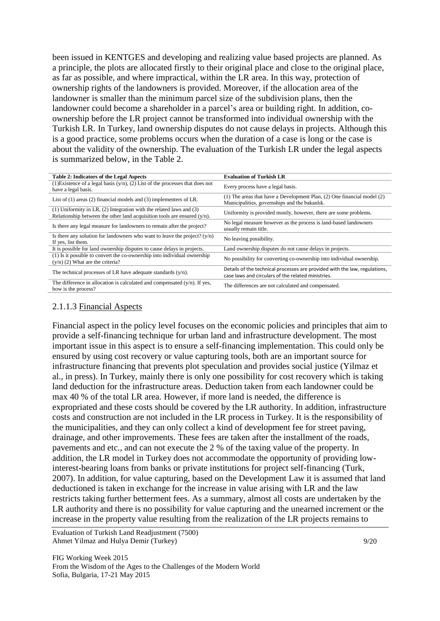been issued in KENTGES and developing and realizing value based projects are planned. As a principle, the plots are allocated firstly to their original place and close to the original place, as far as possible, and where impractical, within the LR area. In this way, protection of ownership rights of the landowners is provided. Moreover, if the allocation area of the landowner is smaller than the minimum parcel size of the subdivision plans, then the landowner could become a shareholder in a parcel's area or building right. In addition, coownership before the LR project cannot be transformed into individual ownership with the Turkish LR. In Turkey, land ownership disputes do not cause delays in projects. Although this is a good practice, some problems occurs when the duration of a case is long or the case is about the validity of the ownership. The evaluation of the Turkish LR under the legal aspects is summarized below, in the Table 2.

| <b>Table 2: Indicators of the Legal Aspects</b>                                                                                                          | <b>Evaluation of Turkish LR</b>                                                                                                  |
|----------------------------------------------------------------------------------------------------------------------------------------------------------|----------------------------------------------------------------------------------------------------------------------------------|
| (1) Existence of a legal basis $(y/n)$ , (2) List of the processes that does not<br>have a legal basis.                                                  | Every process have a legal basis.                                                                                                |
| List of $(1)$ areas $(2)$ financial models and $(3)$ implementers of LR.                                                                                 | (1) The areas that have a Development Plan, (2) One financial model (2)<br>Municipalities, governships and the bakanlık.         |
| $(1)$ Uniformity in LR, $(2)$ Integration with the related laws and $(3)$<br>Relationship between the other land acquisition tools are ensured $(y/n)$ . | Uniformity is provided mostly, however, there are some problems.                                                                 |
| Is there any legal measure for landowners to remain after the project?                                                                                   | No legal measure however as the process is land-based landowners<br>usually remain title.                                        |
| Is there any solution for landowners who want to leave the project? $(y/n)$<br>If yes, list them.                                                        | No leaving possibility.                                                                                                          |
| It is possible for land ownership disputes to cause delays in projects.                                                                                  | Land ownership disputes do not cause delays in projects.                                                                         |
| (1) Is it possible to convert the co-ownership into individual ownership<br>$(y/n)$ (2) What are the criteria?                                           | No possibility for converting co-ownership into individual ownership.                                                            |
| The technical processes of LR have adequate standards $(y/n)$ .                                                                                          | Details of the technical processes are provided with the law, regulations,<br>case laws and circulars of the related ministries. |
| The difference in allocation is calculated and compensated $(y/n)$ . If yes,<br>how is the process?                                                      | The differences are not calculated and compensated.                                                                              |

#### 2.1.1.3 Financial Aspects

Financial aspect in the policy level focuses on the economic policies and principles that aim to provide a self-financing technique for urban land and infrastructure development. The most important issue in this aspect is to ensure a self-financing implementation. This could only be ensured by using cost recovery or value capturing tools, both are an important source for infrastructure financing that prevents plot speculation and provides social justice (Yilmaz et al., in press). In Turkey, mainly there is only one possibility for cost recovery which is taking land deduction for the infrastructure areas. Deduction taken from each landowner could be max 40 % of the total LR area. However, if more land is needed, the difference is expropriated and these costs should be covered by the LR authority. In addition, infrastructure costs and construction are not included in the LR process in Turkey. It is the responsibility of the municipalities, and they can only collect a kind of development fee for street paving, drainage, and other improvements. These fees are taken after the installment of the roads, pavements and etc., and can not execute the 2 % of the taxing value of the property. In addition, the LR model in Turkey does not accommodate the opportunity of providing lowinterest-bearing loans from banks or private institutions for project self-financing (Turk, 2007). In addition, for value capturing, based on the Development Law it is assumed that land deductioned is taken in exchange for the increase in value arising with LR and the law restricts taking further betterment fees. As a summary, almost all costs are undertaken by the LR authority and there is no possibility for value capturing and the unearned increment or the increase in the property value resulting from the realization of the LR projects remains to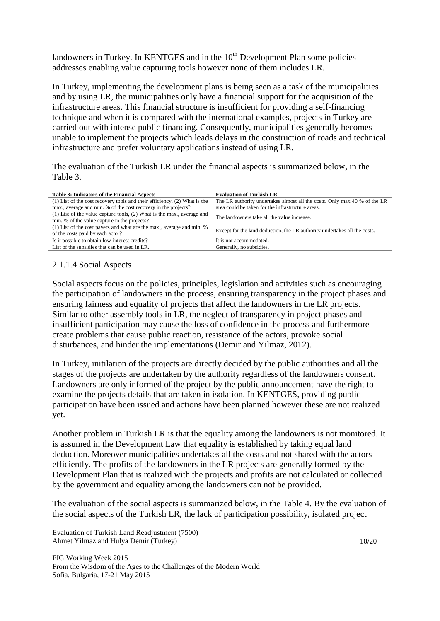landowners in Turkey. In KENTGES and in the  $10<sup>th</sup>$  Development Plan some policies addresses enabling value capturing tools however none of them includes LR.

In Turkey, implementing the development plans is being seen as a task of the municipalities and by using LR, the municipalities only have a financial support for the acquisition of the infrastructure areas. This financial structure is insufficient for providing a self-financing technique and when it is compared with the international examples, projects in Turkey are carried out with intense public financing. Consequently, municipalities generally becomes unable to implement the projects which leads delays in the construction of roads and technical infrastructure and prefer voluntary applications instead of using LR.

The evaluation of the Turkish LR under the financial aspects is summarized below, in the Table 3.

| Table 3: Indicators of the Financial Aspects                               | <b>Evaluation of Turkish LR</b>                                           |
|----------------------------------------------------------------------------|---------------------------------------------------------------------------|
| (1) List of the cost recovery tools and their efficiency. (2) What is the  | The LR authority undertakes almost all the costs. Only max 40 % of the LR |
| max., average and min. % of the cost recovery in the projects?             | area could be taken for the infrastructure areas.                         |
| $(1)$ List of the value capture tools, $(2)$ What is the max., average and | The landowners take all the value increase.                               |
| min. % of the value capture in the projects?                               |                                                                           |
| (1) List of the cost payers and what are the max., average and min. %      |                                                                           |
| of the costs paid by each actor?                                           | Except for the land deduction, the LR authority undertakes all the costs. |
| Is it possible to obtain low-interest credits?                             | It is not accommodated.                                                   |
| List of the subsidies that can be used in LR.                              | Generally, no subsidies.                                                  |
|                                                                            |                                                                           |

## 2.1.1.4 Social Aspects

Social aspects focus on the policies, principles, legislation and activities such as encouraging the participation of landowners in the process, ensuring transparency in the project phases and ensuring fairness and equality of projects that affect the landowners in the LR projects. Similar to other assembly tools in LR, the neglect of transparency in project phases and insufficient participation may cause the loss of confidence in the process and furthermore create problems that cause public reaction, resistance of the actors, provoke social disturbances, and hinder the implementations (Demir and Yilmaz, 2012).

In Turkey, initilation of the projects are directly decided by the public authorities and all the stages of the projects are undertaken by the authority regardless of the landowners consent. Landowners are only informed of the project by the public announcement have the right to examine the projects details that are taken in isolation. In KENTGES, providing public participation have been issued and actions have been planned however these are not realized yet.

Another problem in Turkish LR is that the equality among the landowners is not monitored. It is assumed in the Development Law that equality is established by taking equal land deduction. Moreover municipalities undertakes all the costs and not shared with the actors efficiently. The profits of the landowners in the LR projects are generally formed by the Development Plan that is realized with the projects and profits are not calculated or collected by the government and equality among the landowners can not be provided.

The evaluation of the social aspects is summarized below, in the Table 4. By the evaluation of the social aspects of the Turkish LR, the lack of participation possibility, isolated project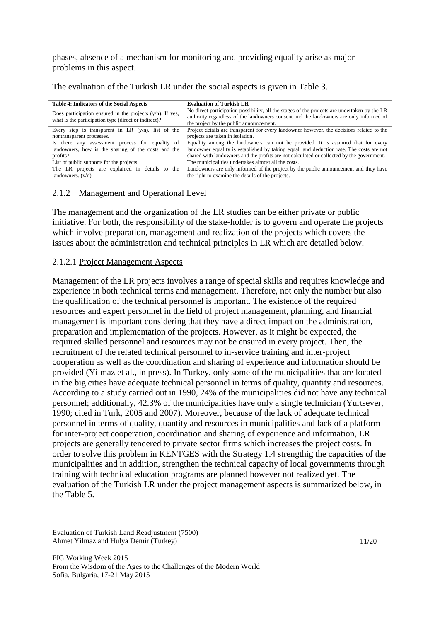phases, absence of a mechanism for monitoring and providing equality arise as major problems in this aspect.

The evaluation of the Turkish LR under the social aspects is given in Table 3.

| <b>Table 4: Indicators of the Social Aspects</b>             | <b>Evaluation of Turkish LR</b>                                                              |
|--------------------------------------------------------------|----------------------------------------------------------------------------------------------|
| Does participation ensured in the projects $(y/n)$ , If yes, | No direct participation possibility, all the stages of the projects are undertaken by the LR |
| what is the participation type (direct or indirect)?         | authority regardless of the landowners consent and the landowners are only informed of       |
|                                                              | the project by the public announcement.                                                      |
| Every step is transparent in LR $(y/n)$ , list of the        | Project details are transparent for every landowner however, the decisions related to the    |
| nontransparent processes.                                    | projects are taken in isolation.                                                             |
| Is there any assessment process for equality of              | Equality among the landowners can not be provided. It is assumed that for every              |
| landowners, how is the sharing of the costs and the          | landowner equality is established by taking equal land deduction rate. The costs are not     |
| profits?                                                     | shared with landowners and the profits are not calculated or collected by the government.    |
| List of public supports for the projects.                    | The municipalities undertakes almost all the costs.                                          |
| The LR projects are explained in details to the              | Landowners are only informed of the project by the public announcement and they have         |
| landowners. $(y/n)$                                          | the right to examine the details of the projects.                                            |

### 2.1.2 Management and Operational Level

The management and the organization of the LR studies can be either private or public initiative. For both, the responsibility of the stake-holder is to govern and operate the projects which involve preparation, management and realization of the projects which covers the issues about the administration and technical principles in LR which are detailed below.

### 2.1.2.1 Project Management Aspects

Management of the LR projects involves a range of special skills and requires knowledge and experience in both technical terms and management. Therefore, not only the number but also the qualification of the technical personnel is important. The existence of the required resources and expert personnel in the field of project management, planning, and financial management is important considering that they have a direct impact on the administration, preparation and implementation of the projects. However, as it might be expected, the required skilled personnel and resources may not be ensured in every project. Then, the recruitment of the related technical personnel to in-service training and inter-project cooperation as well as the coordination and sharing of experience and information should be provided (Yilmaz et al., in press). In Turkey, only some of the municipalities that are located in the big cities have adequate technical personnel in terms of quality, quantity and resources. According to a study carried out in 1990, 24% of the municipalities did not have any technical personnel; additionally, 42.3% of the municipalities have only a single technician (Yurtsever, 1990; cited in Turk, 2005 and 2007). Moreover, because of the lack of adequate technical personnel in terms of quality, quantity and resources in municipalities and lack of a platform for inter-project cooperation, coordination and sharing of experience and information, LR projects are generally tendered to private sector firms which increases the project costs. In order to solve this problem in KENTGES with the Strategy 1.4 strengthig the capacities of the municipalities and in addition, strengthen the technical capacity of local governments through training with technical education programs are planned however not realized yet. The evaluation of the Turkish LR under the project management aspects is summarized below, in the Table 5.

Evaluation of Turkish Land Readjustment (7500) Ahmet Yilmaz and Hulya Demir (Turkey)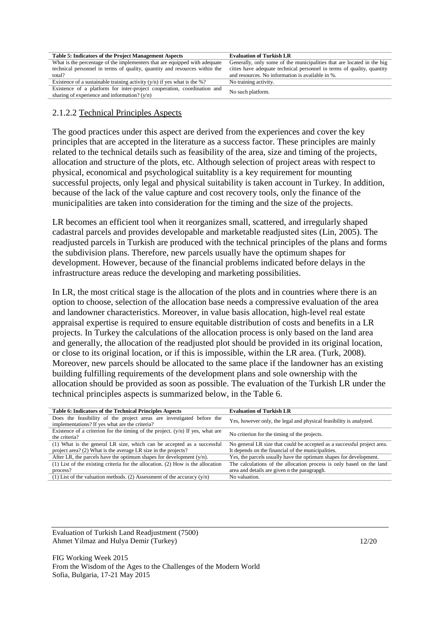| Table 5: Indicators of the Project Management Aspects                      | <b>Evaluation of Turkish LR</b>                                        |
|----------------------------------------------------------------------------|------------------------------------------------------------------------|
| What is the percentage of the implementers that are equipped with adequate | Generally, only some of the municipalities that are located in the big |
| technical personnel in terms of quality, quantity and resources within the | cities have adequate technical personnel in terms of quality, quantity |
| total?                                                                     | and resources. No information is available in %.                       |
| Existence of a sustainable training activity $(y/n)$ if yes what is the %? | No training activity.                                                  |
| Existence of a platform for inter-project cooperation, coordination and    |                                                                        |
| sharing of experience and information? $(y/n)$                             | No such platform.                                                      |
|                                                                            |                                                                        |

#### 2.1.2.2 Technical Principles Aspects

The good practices under this aspect are derived from the experiences and cover the key principles that are accepted in the literature as a success factor. These principles are mainly related to the technical details such as feasibility of the area, size and timing of the projects, allocation and structure of the plots, etc. Although selection of project areas with respect to physical, economical and psychological suitablity is a key requirement for mounting successful projects, only legal and physical suitability is taken account in Turkey. In addition, because of the lack of the value capture and cost recovery tools, only the finance of the municipalities are taken into consideration for the timing and the size of the projects.

LR becomes an efficient tool when it reorganizes small, scattered, and irregularly shaped cadastral parcels and provides developable and marketable readjusted sites (Lin, 2005). The readjusted parcels in Turkish are produced with the technical principles of the plans and forms the subdivision plans. Therefore, new parcels usually have the optimum shapes for development. However, because of the financial problems indicated before delays in the infrastructure areas reduce the developing and marketing possibilities.

In LR, the most critical stage is the allocation of the plots and in countries where there is an option to choose, selection of the allocation base needs a compressive evaluation of the area and landowner characteristics. Moreover, in value basis allocation, high-level real estate appraisal expertise is required to ensure equitable distribution of costs and benefits in a LR projects. In Turkey the calculations of the allocation process is only based on the land area and generally, the allocation of the readjusted plot should be provided in its original location, or close to its original location, or if this is impossible, within the LR area. (Turk, 2008). Moreover, new parcels should be allocated to the same place if the landowner has an existing building fulfilling requirements of the development plans and sole ownership with the allocation should be provided as soon as possible. The evaluation of the Turkish LR under the technical principles aspects is summarized below, in the Table 6.

| Table 6: Indicators of the Technical Principles Aspects                             | <b>Evaluation of Turkish LR</b>                                         |  |
|-------------------------------------------------------------------------------------|-------------------------------------------------------------------------|--|
| Does the feasibility of the project areas are investigated before the               | Yes, however only, the legal and physical feasibility is analyzed.      |  |
| implementations? If yes what are the criteria?                                      |                                                                         |  |
| Existence of a criterion for the timing of the project. $(y/n)$ If yes, what are    |                                                                         |  |
| the criteria?                                                                       | No criterion for the timing of the projects.                            |  |
| (1) What is the general LR size, which can be accepted as a successful              | No general LR size that could be accepted as a successful project area. |  |
| project area? (2) What is the average LR size in the projects?                      | It depends on the financial of the municipalities.                      |  |
| After LR, the parcels have the optimum shapes for development $(y/n)$ .             | Yes, the parcels usually have the optimum shapes for development.       |  |
| $(1)$ List of the existing criteria for the allocation. $(2)$ How is the allocation | The calculations of the allocation process is only based on the land    |  |
| process?                                                                            | area and details are given n the paragrapgh.                            |  |
| (1) List of the valuation methods. (2) Assessment of the accuracy $(y/n)$           | No valuation.                                                           |  |
|                                                                                     |                                                                         |  |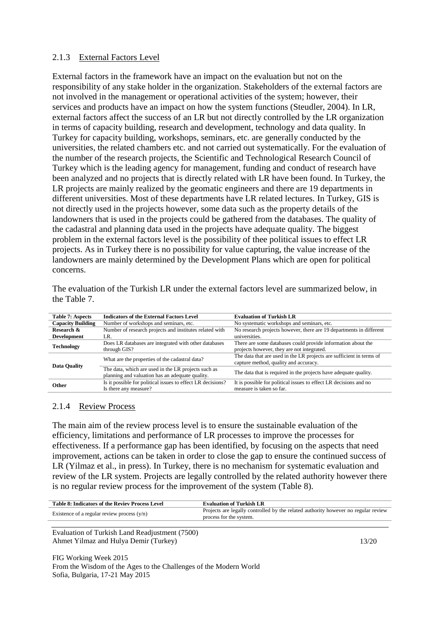### 2.1.3 External Factors Level

External factors in the framework have an impact on the evaluation but not on the responsibility of any stake holder in the organization. Stakeholders of the external factors are not involved in the management or operational activities of the system; however, their services and products have an impact on how the system functions (Steudler, 2004). In LR, external factors affect the success of an LR but not directly controlled by the LR organization in terms of capacity building, research and development, technology and data quality. In Turkey for capacity building, workshops, seminars, etc. are generally conducted by the universities, the related chambers etc. and not carried out systematically. For the evaluation of the number of the research projects, the Scientific and Technological Research Council of Turkey which is the leading agency for management, funding and conduct of research have been analyzed and no projects that is directly related with LR have been found. In Turkey, the LR projects are mainly realized by the geomatic engineers and there are 19 departments in different universities. Most of these departments have LR related lectures. In Turkey, GIS is not directly used in the projects however, some data such as the property details of the landowners that is used in the projects could be gathered from the databases. The quality of the cadastral and planning data used in the projects have adequate quality. The biggest problem in the external factors level is the possibility of thee political issues to effect LR projects. As in Turkey there is no possibility for value capturing, the value increase of the landowners are mainly determined by the Development Plans which are open for political concerns.

The evaluation of the Turkish LR under the external factors level are summarized below, in the Table 7.

| <b>Table 7: Aspects</b>  | <b>Indicators of the External Factors Level</b>             | <b>Evaluation of Turkish LR</b>                                      |  |
|--------------------------|-------------------------------------------------------------|----------------------------------------------------------------------|--|
| <b>Capacity Building</b> | Number of workshops and seminars, etc.                      | No systematic workshops and seminars, etc.                           |  |
| Research &               | Number of research projects and institutes related with     | No research projects however, there are 19 departments in different  |  |
| <b>Development</b>       | LR.                                                         | universities.                                                        |  |
| <b>Technology</b>        | Does LR databases are integrated with other databases       | There are some databases could provide information about the         |  |
|                          | through GIS?                                                | projects however, they are not integrated.                           |  |
|                          | What are the properties of the cadastral data?              | The data that are used in the LR projects are sufficient in terms of |  |
| Data Ouality             |                                                             | capture method, quality and accuracy.                                |  |
|                          | The data, which are used in the LR projects such as         | The data that is required in the projects have adequate quality.     |  |
|                          | planning and valuation has an adequate quality.             |                                                                      |  |
| Other                    | Is it possible for political issues to effect LR decisions? | It is possible for political issues to effect LR decisions and no    |  |
|                          | Is there any measure?                                       | measure is taken so far.                                             |  |

#### 2.1.4 Review Process

The main aim of the review process level is to ensure the sustainable evaluation of the efficiency, limitations and performance of LR processes to improve the processes for effectiveness. If a performance gap has been identified, by focusing on the aspects that need improvement, actions can be taken in order to close the gap to ensure the continued success of LR (Yilmaz et al., in press). In Turkey, there is no mechanism for systematic evaluation and review of the LR system. Projects are legally controlled by the related authority however there is no regular review process for the improvement of the system (Table 8).

| Table 8: Indicators of the Reviev Process Level | <b>Evaluation of Turkish LR</b>                                                    |  |
|-------------------------------------------------|------------------------------------------------------------------------------------|--|
| Existence of a regular review process $(y/n)$   | Projects are legally controlled by the related authority however no regular review |  |
|                                                 | process for the system.                                                            |  |
|                                                 |                                                                                    |  |

13/20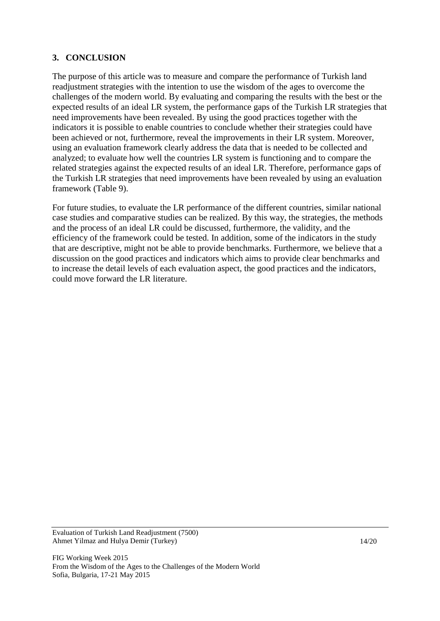## **3. CONCLUSION**

The purpose of this article was to measure and compare the performance of Turkish land readjustment strategies with the intention to use the wisdom of the ages to overcome the challenges of the modern world. By evaluating and comparing the results with the best or the expected results of an ideal LR system, the performance gaps of the Turkish LR strategies that need improvements have been revealed. By using the good practices together with the indicators it is possible to enable countries to conclude whether their strategies could have been achieved or not, furthermore, reveal the improvements in their LR system. Moreover, using an evaluation framework clearly address the data that is needed to be collected and analyzed; to evaluate how well the countries LR system is functioning and to compare the related strategies against the expected results of an ideal LR. Therefore, performance gaps of the Turkish LR strategies that need improvements have been revealed by using an evaluation framework (Table 9).

For future studies, to evaluate the LR performance of the different countries, similar national case studies and comparative studies can be realized. By this way, the strategies, the methods and the process of an ideal LR could be discussed, furthermore, the validity, and the efficiency of the framework could be tested. In addition, some of the indicators in the study that are descriptive, might not be able to provide benchmarks. Furthermore, we believe that a discussion on the good practices and indicators which aims to provide clear benchmarks and to increase the detail levels of each evaluation aspect, the good practices and the indicators, could move forward the LR literature.

Evaluation of Turkish Land Readjustment (7500) Ahmet Yilmaz and Hulya Demir (Turkey)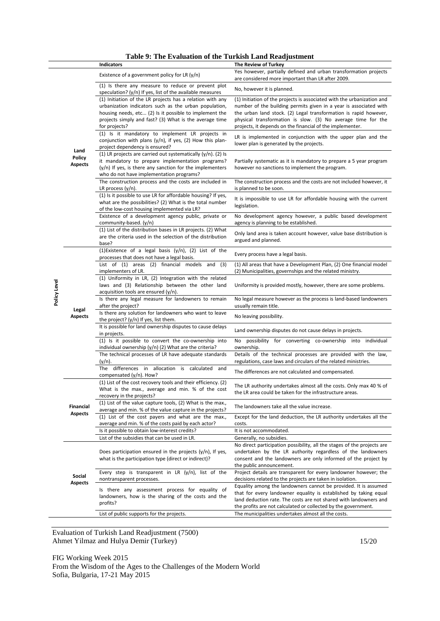| Indicators   |                                  |                                                                                                                                                                                                                                                         | The Review of Turkey                                                                                                                                                                                                                                                                                                                         |  |  |
|--------------|----------------------------------|---------------------------------------------------------------------------------------------------------------------------------------------------------------------------------------------------------------------------------------------------------|----------------------------------------------------------------------------------------------------------------------------------------------------------------------------------------------------------------------------------------------------------------------------------------------------------------------------------------------|--|--|
|              |                                  | Existence of a government policy for LR $(y/n)$                                                                                                                                                                                                         | Yes however, partially defined and urban transformation projects<br>are considered more important than LR after 2009.                                                                                                                                                                                                                        |  |  |
|              |                                  | (1) Is there any measure to reduce or prevent plot<br>speculation? (y/n) If yes, list of the available measures                                                                                                                                         | No, however it is planned.                                                                                                                                                                                                                                                                                                                   |  |  |
|              |                                  | (1) Initiation of the LR projects has a relation with any<br>urbanization indicators such as the urban population,<br>housing needs, etc (2) Is it possible to implement the<br>projects simply and fast? (3) What is the average time<br>for projects? | (1) Initiation of the projects is associated with the urbanization and<br>number of the building permits given in a year is associated with<br>the urban land stock. (2) Legal transformation is rapid however,<br>physical transformation is slow. (3) No average time for the<br>projects, it depends on the financial of the implementer. |  |  |
|              |                                  | (1) Is it mandatory to implement LR projects in<br>conjunction with plans $(y/n)$ , if yes, (2) How this plan-<br>project dependency is ensured?                                                                                                        | LR is implemented in conjunction with the upper plan and the<br>lower plan is generated by the projects.                                                                                                                                                                                                                                     |  |  |
|              | Land<br>Policy<br><b>Aspects</b> | (1) LR projects are carried out systematically $(y/n)$ . (2) Is<br>it mandatory to prepare implementation programs?<br>$(y/n)$ If yes, is there any sanction for the implementers<br>who do not have implementation programs?                           | Partially systematic as it is mandatory to prepare a 5 year program<br>however no sanctions to implement the program.                                                                                                                                                                                                                        |  |  |
|              |                                  | The construction process and the costs are included in<br>LR process $(y/n)$ .                                                                                                                                                                          | The construction process and the costs are not included however, it<br>is planned to be soon.                                                                                                                                                                                                                                                |  |  |
|              |                                  | (1) Is it possible to use LR for affordable housing? If yes,<br>what are the possibilities? (2) What is the total number<br>of the low-cost housing implemented via LR?                                                                                 | It is impossible to use LR for affordable housing with the current<br>legislation.                                                                                                                                                                                                                                                           |  |  |
|              |                                  | Existence of a development agency public, private or<br>community-based. (y/n)                                                                                                                                                                          | No development agency however, a public based development<br>agency is planning to be established.                                                                                                                                                                                                                                           |  |  |
|              |                                  | (1) List of the distribution bases in LR projects. (2) What<br>are the criteria used in the selection of the distribution<br>base?                                                                                                                      | Only land area is taken account however, value base distribution is<br>argued and planned.                                                                                                                                                                                                                                                   |  |  |
|              |                                  | (1) Existence of a legal basis $(y/n)$ , (2) List of the<br>processes that does not have a legal basis.                                                                                                                                                 | Every process have a legal basis.                                                                                                                                                                                                                                                                                                            |  |  |
|              |                                  | List of (1) areas (2) financial models and (3)<br>implementers of LR.                                                                                                                                                                                   | (1) All areas that have a Development Plan, (2) One financial model<br>(2) Municipalities, governships and the related ministry.                                                                                                                                                                                                             |  |  |
| Policy Level |                                  | (1) Uniformity in LR, (2) Integration with the related<br>laws and (3) Relationship between the other land<br>acquisition tools are ensured $(y/n)$ .                                                                                                   | Uniformity is provided mostly, however, there are some problems.                                                                                                                                                                                                                                                                             |  |  |
|              |                                  | Is there any legal measure for landowners to remain<br>after the project?                                                                                                                                                                               | No legal measure however as the process is land-based landowners<br>usually remain title.                                                                                                                                                                                                                                                    |  |  |
|              | Legal<br><b>Aspects</b>          | Is there any solution for landowners who want to leave<br>the project? (y/n) If yes, list them.                                                                                                                                                         | No leaving possibility.                                                                                                                                                                                                                                                                                                                      |  |  |
|              |                                  | It is possible for land ownership disputes to cause delays<br>in projects.                                                                                                                                                                              | Land ownership disputes do not cause delays in projects.                                                                                                                                                                                                                                                                                     |  |  |
|              |                                  | (1) Is it possible to convert the co-ownership into<br>individual ownership (y/n) (2) What are the criteria?                                                                                                                                            | No possibility for converting co-ownership into individual<br>ownership.                                                                                                                                                                                                                                                                     |  |  |
|              |                                  | The technical processes of LR have adequate standards<br>$(y/n)$ .                                                                                                                                                                                      | Details of the technical processes are provided with the law,<br>regulations, case laws and circulars of the related ministries.                                                                                                                                                                                                             |  |  |
|              |                                  | The differences in allocation is calculated<br>and<br>compensated (y/n). How?                                                                                                                                                                           | The differences are not calculated and compensated.                                                                                                                                                                                                                                                                                          |  |  |
|              |                                  | (1) List of the cost recovery tools and their efficiency. (2)<br>What is the max., average and min. % of the cost<br>recovery in the projects?                                                                                                          | The LR authority undertakes almost all the costs. Only max 40 % of<br>the LR area could be taken for the infrastructure areas.                                                                                                                                                                                                               |  |  |
|              | Financial<br><b>Aspects</b>      | (1) List of the value capture tools, (2) What is the max.,<br>average and min. % of the value capture in the projects?                                                                                                                                  | The landowners take all the value increase.                                                                                                                                                                                                                                                                                                  |  |  |
|              |                                  | (1) List of the cost payers and what are the max.,<br>average and min. % of the costs paid by each actor?                                                                                                                                               | Except for the land deduction, the LR authority undertakes all the<br>costs.                                                                                                                                                                                                                                                                 |  |  |
|              |                                  | Is it possible to obtain low-interest credits?                                                                                                                                                                                                          | It is not accommodated.                                                                                                                                                                                                                                                                                                                      |  |  |
|              |                                  | List of the subsidies that can be used in LR.                                                                                                                                                                                                           | Generally, no subsidies.                                                                                                                                                                                                                                                                                                                     |  |  |
|              |                                  | Does participation ensured in the projects (y/n), If yes,<br>what is the participation type (direct or indirect)?                                                                                                                                       | No direct participation possibility, all the stages of the projects are<br>undertaken by the LR authority regardless of the landowners<br>consent and the landowners are only informed of the project by<br>the public announcement.                                                                                                         |  |  |
|              | Social                           | Every step is transparent in LR $(y/n)$ , list of the<br>nontransparent processes.                                                                                                                                                                      | Project details are transparent for every landowner however; the<br>decisions related to the projects are taken in isolation.                                                                                                                                                                                                                |  |  |
|              | <b>Aspects</b>                   | Is there any assessment process for equality of<br>landowners, how is the sharing of the costs and the<br>profits?                                                                                                                                      | Equality among the landowners cannot be provided. It is assumed<br>that for every landowner equality is established by taking equal<br>land deduction rate. The costs are not shared with landowners and<br>the profits are not calculated or collected by the government.                                                                   |  |  |
|              |                                  | List of public supports for the projects.                                                                                                                                                                                                               | The municipalities undertakes almost all the costs.                                                                                                                                                                                                                                                                                          |  |  |

Evaluation of Turkish Land Readjustment (7500) Ahmet Yilmaz and Hulya Demir (Turkey)

FIG Working Week 2015 From the Wisdom of the Ages to the Challenges of the Modern World Sofia, Bulgaria, 17-21 May 2015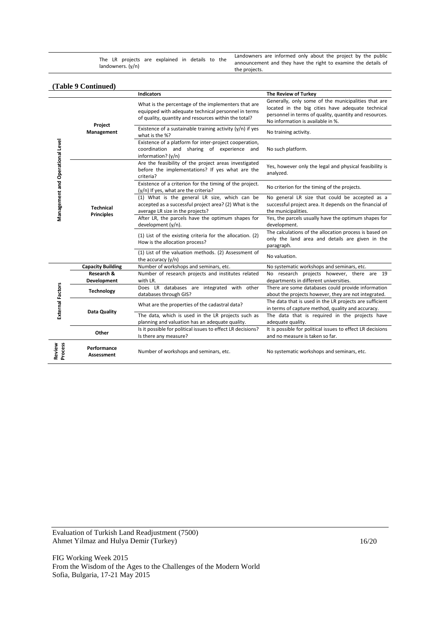|  |                   | The LR projects are explained in details to the |  |  |
|--|-------------------|-------------------------------------------------|--|--|
|  | landowners. (y/n) |                                                 |  |  |

Landowners are informed only about the project by the public announcement and they have the right to examine the details of the projects.

### **(Table 9 Continued)**

|                                  |                                       | <b>Indicators</b>                                                                                                                                                  | The Review of Turkey                                                                                                                                                                                    |
|----------------------------------|---------------------------------------|--------------------------------------------------------------------------------------------------------------------------------------------------------------------|---------------------------------------------------------------------------------------------------------------------------------------------------------------------------------------------------------|
|                                  |                                       | What is the percentage of the implementers that are<br>equipped with adequate technical personnel in terms<br>of quality, quantity and resources within the total? | Generally, only some of the municipalities that are<br>located in the big cities have adequate technical<br>personnel in terms of quality, quantity and resources.<br>No information is available in %. |
|                                  | Project<br>Management                 | Existence of a sustainable training activity $(y/n)$ if yes<br>what is the %?                                                                                      | No training activity.                                                                                                                                                                                   |
|                                  |                                       | Existence of a platform for inter-project cooperation,<br>coordination and sharing of experience and<br>information? (y/n)                                         | No such platform.                                                                                                                                                                                       |
|                                  |                                       | Are the feasibility of the project areas investigated<br>before the implementations? If yes what are the<br>criteria?                                              | Yes, however only the legal and physical feasibility is<br>analyzed.                                                                                                                                    |
|                                  |                                       | Existence of a criterion for the timing of the project.<br>(y/n) If yes, what are the criteria?                                                                    | No criterion for the timing of the projects.                                                                                                                                                            |
| Management and Operational Level | <b>Technical</b><br><b>Principles</b> | (1) What is the general LR size, which can be<br>accepted as a successful project area? (2) What is the<br>average LR size in the projects?                        | No general LR size that could be accepted as a<br>successful project area. It depends on the financial of<br>the municipalities.                                                                        |
|                                  |                                       | After LR, the parcels have the optimum shapes for<br>development (y/n).                                                                                            | Yes, the parcels usually have the optimum shapes for<br>development.                                                                                                                                    |
|                                  |                                       | (1) List of the existing criteria for the allocation. (2)<br>How is the allocation process?                                                                        | The calculations of the allocation process is based on<br>only the land area and details are given in the<br>paragraph.                                                                                 |
|                                  |                                       | (1) List of the valuation methods. (2) Assessment of<br>the accuracy (y/n)                                                                                         | No valuation.                                                                                                                                                                                           |
|                                  | <b>Capacity Building</b>              | Number of workshops and seminars, etc.                                                                                                                             | No systematic workshops and seminars, etc.                                                                                                                                                              |
| External Factors                 | Research &<br>Development             | Number of research projects and institutes related<br>with LR.                                                                                                     | No research projects however, there are 19<br>departments in different universities.                                                                                                                    |
|                                  | <b>Technology</b>                     | Does LR databases are integrated with other<br>databases through GIS?                                                                                              | There are some databases could provide information<br>about the projects however, they are not integrated.                                                                                              |
|                                  |                                       | What are the properties of the cadastral data?                                                                                                                     | The data that is used in the LR projects are sufficient<br>in terms of capture method, quality and accuracy.                                                                                            |
|                                  | Data Quality                          | The data, which is used in the LR projects such as<br>planning and valuation has an adequate quality.                                                              | The data that is required in the projects have<br>adequate quality.                                                                                                                                     |
|                                  | Other                                 | Is it possible for political issues to effect LR decisions?<br>Is there any measure?                                                                               | It is possible for political issues to effect LR decisions<br>and no measure is taken so far.                                                                                                           |
| Process<br>Review                | Performance<br>Assessment             | Number of workshops and seminars, etc.                                                                                                                             | No systematic workshops and seminars, etc.                                                                                                                                                              |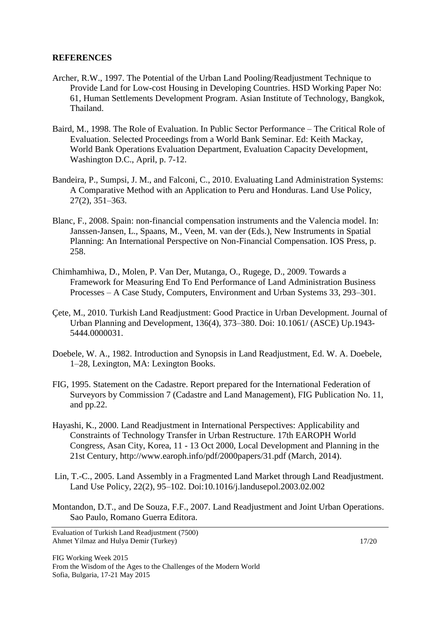#### **REFERENCES**

- Archer, R.W., 1997. The Potential of the Urban Land Pooling/Readjustment Technique to Provide Land for Low-cost Housing in Developing Countries. HSD Working Paper No: 61, Human Settlements Development Program. Asian Institute of Technology, Bangkok, Thailand.
- Baird, M., 1998. The Role of Evaluation. In Public Sector Performance The Critical Role of Evaluation. Selected Proceedings from a World Bank Seminar. Ed: Keith Mackay, World Bank Operations Evaluation Department, Evaluation Capacity Development, Washington D.C., April, p. 7-12.
- Bandeira, P., Sumpsi, J. M., and Falconi, C., 2010. Evaluating Land Administration Systems: A Comparative Method with an Application to Peru and Honduras. Land Use Policy, 27(2), 351–363.
- Blanc, F., 2008. Spain: non-financial compensation instruments and the Valencia model. In: Janssen-Jansen, L., Spaans, M., Veen, M. van der (Eds.), New Instruments in Spatial Planning: An International Perspective on Non-Financial Compensation. IOS Press, p. 258.
- Chimhamhiwa, D., Molen, P. Van Der, Mutanga, O., Rugege, D., 2009. Towards a Framework for Measuring End To End Performance of Land Administration Business Processes – A Case Study, Computers, Environment and Urban Systems 33, 293–301.
- Çete, M., 2010. Turkish Land Readjustment: Good Practice in Urban Development. Journal of Urban Planning and Development, 136(4), 373–380. Doi: 10.1061/ (ASCE) Up.1943- 5444.0000031.
- Doebele, W. A., 1982. Introduction and Synopsis in Land Readjustment, Ed. W. A. Doebele, 1–28, Lexington, MA: Lexington Books.
- FIG, 1995. Statement on the Cadastre. Report prepared for the International Federation of Surveyors by Commission 7 (Cadastre and Land Management), FIG Publication No. 11, and pp.22.
- Hayashi, K., 2000. Land Readjustment in International Perspectives: Applicability and Constraints of Technology Transfer in Urban Restructure. 17th EAROPH World Congress, Asan City, Korea, 11 - 13 Oct 2000, Local Development and Planning in the 21st Century, http://www.earoph.info/pdf/2000papers/31.pdf (March, 2014).
- Lin, T.-C., 2005. Land Assembly in a Fragmented Land Market through Land Readjustment. Land Use Policy, 22(2), 95–102. Doi:10.1016/j.landusepol.2003.02.002
- Montandon, D.T., and De Souza, F.F., 2007. Land Readjustment and Joint Urban Operations. Sao Paulo, Romano Guerra Editora.

Evaluation of Turkish Land Readjustment (7500) Ahmet Yilmaz and Hulya Demir (Turkey)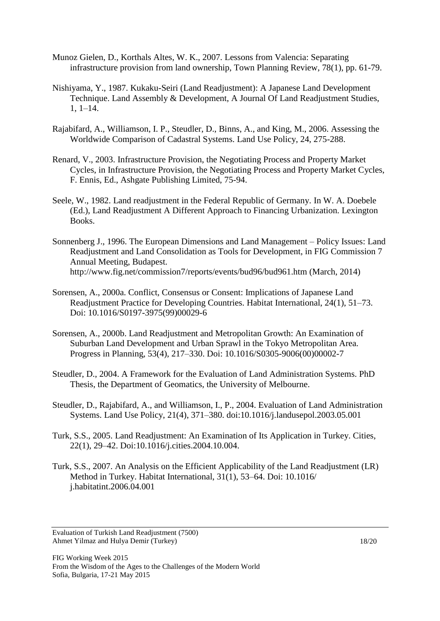- Munoz Gielen, D., Korthals Altes, W. K., 2007. Lessons from Valencia: Separating infrastructure provision from land ownership, Town Planning Review, 78(1), pp. 61-79.
- Nishiyama, Y., 1987. Kukaku-Seiri (Land Readjustment): A Japanese Land Development Technique. Land Assembly & Development, A Journal Of Land Readjustment Studies, 1, 1–14.
- Rajabifard, A., Williamson, I. P., Steudler, D., Binns, A., and King, M., 2006. Assessing the Worldwide Comparison of Cadastral Systems. Land Use Policy, 24, 275-288.
- Renard, V., 2003. Infrastructure Provision, the Negotiating Process and Property Market Cycles, in Infrastructure Provision, the Negotiating Process and Property Market Cycles, F. Ennis, Ed., Ashgate Publishing Limited, 75-94.
- Seele, W., 1982. Land readjustment in the Federal Republic of Germany. In W. A. Doebele (Ed.), Land Readjustment A Different Approach to Financing Urbanization. Lexington Books.
- Sonnenberg J., 1996. The European Dimensions and Land Management Policy Issues: Land Readjustment and Land Consolidation as Tools for Development, in FIG Commission 7 Annual Meeting, Budapest. http://www.fig.net/commission7/reports/events/bud96/bud961.htm (March, 2014)
- Sorensen, A., 2000a. Conflict, Consensus or Consent: Implications of Japanese Land Readjustment Practice for Developing Countries. Habitat International, 24(1), 51–73. Doi: 10.1016/S0197-3975(99)00029-6
- Sorensen, A., 2000b. Land Readjustment and Metropolitan Growth: An Examination of Suburban Land Development and Urban Sprawl in the Tokyo Metropolitan Area. Progress in Planning, 53(4), 217–330. Doi: 10.1016/S0305-9006(00)00002-7
- Steudler, D., 2004. A Framework for the Evaluation of Land Administration Systems. PhD Thesis, the Department of Geomatics, the University of Melbourne.
- Steudler, D., Rajabifard, A., and Williamson, I., P., 2004. Evaluation of Land Administration Systems. Land Use Policy, 21(4), 371–380. doi:10.1016/j.landusepol.2003.05.001
- Turk, S.S., 2005. Land Readjustment: An Examination of Its Application in Turkey. Cities, 22(1), 29–42. Doi:10.1016/j.cities.2004.10.004.
- Turk, S.S., 2007. An Analysis on the Efficient Applicability of the Land Readjustment (LR) Method in Turkey. Habitat International, 31(1), 53–64. Doi: 10.1016/ j.habitatint.2006.04.001

Evaluation of Turkish Land Readjustment (7500) Ahmet Yilmaz and Hulya Demir (Turkey)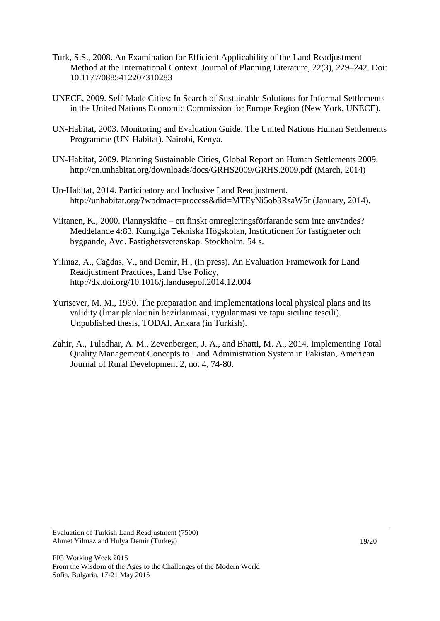- Turk, S.S., 2008. An Examination for Efficient Applicability of the Land Readjustment Method at the International Context. Journal of Planning Literature, 22(3), 229–242. Doi: 10.1177/0885412207310283
- UNECE, 2009. Self-Made Cities: In Search of Sustainable Solutions for Informal Settlements in the United Nations Economic Commission for Europe Region (New York, UNECE).
- UN-Habitat, 2003. Monitoring and Evaluation Guide. The United Nations Human Settlements Programme (UN-Habitat). Nairobi, Kenya.
- UN-Habitat, 2009. Planning Sustainable Cities, Global Report on Human Settlements 2009. http://cn.unhabitat.org/downloads/docs/GRHS2009/GRHS.2009.pdf (March, 2014)
- Un-Habitat, 2014. Participatory and Inclusive Land Readjustment. http://unhabitat.org/?wpdmact=process&did=MTEyNi5ob3RsaW5r (January, 2014).
- Viitanen, K., 2000. Plannyskifte ett finskt omregleringsförfarande som inte användes? Meddelande 4:83, Kungliga Tekniska Högskolan, Institutionen för fastigheter och byggande, Avd. Fastighetsvetenskap. Stockholm. 54 s.
- Yılmaz, A., Çağdas, V., and Demir, H., (in press). An Evaluation Framework for Land Readjustment Practices, Land Use Policy, http://dx.doi.org/10.1016/j.landusepol.2014.12.004
- Yurtsever, M. M., 1990. The preparation and implementations local physical plans and its validity (İmar planlarinin hazirlanmasi, uygulanmasi ve tapu siciline tescili). Unpublished thesis, TODAI, Ankara (in Turkish).
- Zahir, A., Tuladhar, A. M., Zevenbergen, J. A., and Bhatti, M. A., 2014. Implementing Total Quality Management Concepts to Land Administration System in Pakistan, American Journal of Rural Development 2, no. 4, 74-80.

Evaluation of Turkish Land Readjustment (7500) Ahmet Yilmaz and Hulya Demir (Turkey)